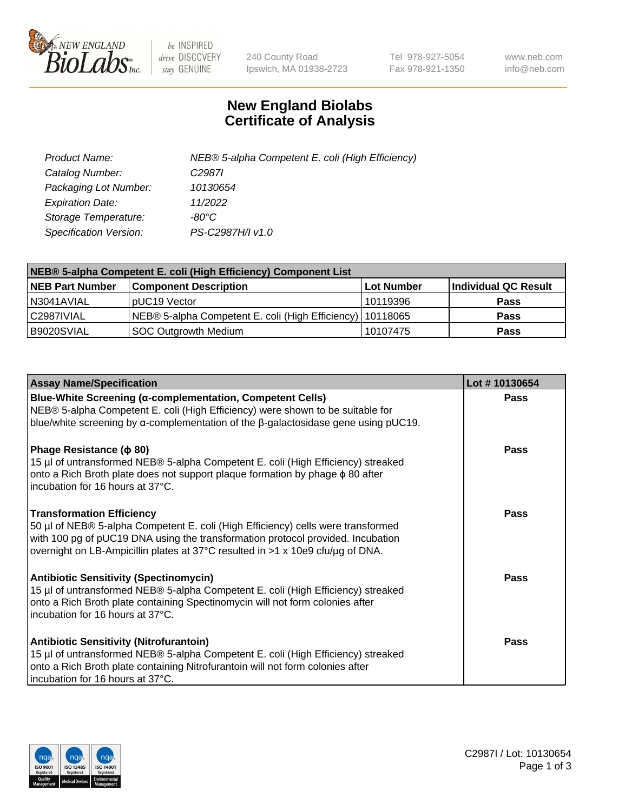

 $be$  INSPIRED drive DISCOVERY stay GENUINE

240 County Road Ipswich, MA 01938-2723 Tel 978-927-5054 Fax 978-921-1350 www.neb.com info@neb.com

## **New England Biolabs Certificate of Analysis**

| Product Name:           | NEB® 5-alpha Competent E. coli (High Efficiency) |
|-------------------------|--------------------------------------------------|
| Catalog Number:         | C <sub>2987</sub>                                |
| Packaging Lot Number:   | 10130654                                         |
| <b>Expiration Date:</b> | 11/2022                                          |
| Storage Temperature:    | -80°C                                            |
| Specification Version:  | PS-C2987H/I v1.0                                 |

| NEB® 5-alpha Competent E. coli (High Efficiency) Component List |                                                             |            |                      |  |
|-----------------------------------------------------------------|-------------------------------------------------------------|------------|----------------------|--|
| <b>NEB Part Number</b>                                          | <b>Component Description</b>                                | Lot Number | Individual QC Result |  |
| N3041AVIAL                                                      | pUC19 Vector                                                | 10119396   | <b>Pass</b>          |  |
| C2987IVIAL                                                      | NEB® 5-alpha Competent E. coli (High Efficiency)   10118065 |            | <b>Pass</b>          |  |
| B9020SVIAL                                                      | <b>SOC Outgrowth Medium</b>                                 | 10107475   | <b>Pass</b>          |  |

| <b>Assay Name/Specification</b>                                                                                                                                                                                                                                                           | Lot #10130654 |
|-------------------------------------------------------------------------------------------------------------------------------------------------------------------------------------------------------------------------------------------------------------------------------------------|---------------|
| Blue-White Screening (α-complementation, Competent Cells)<br>NEB® 5-alpha Competent E. coli (High Efficiency) were shown to be suitable for<br>blue/white screening by $\alpha$ -complementation of the $\beta$ -galactosidase gene using pUC19.                                          | Pass          |
| Phage Resistance ( $\phi$ 80)<br>15 µl of untransformed NEB® 5-alpha Competent E. coli (High Efficiency) streaked<br>onto a Rich Broth plate does not support plaque formation by phage $\phi$ 80 after<br>incubation for 16 hours at 37°C.                                               | Pass          |
| <b>Transformation Efficiency</b><br>50 µl of NEB® 5-alpha Competent E. coli (High Efficiency) cells were transformed<br>with 100 pg of pUC19 DNA using the transformation protocol provided. Incubation<br>overnight on LB-Ampicillin plates at 37°C resulted in >1 x 10e9 cfu/µg of DNA. | Pass          |
| <b>Antibiotic Sensitivity (Spectinomycin)</b><br>15 µl of untransformed NEB® 5-alpha Competent E. coli (High Efficiency) streaked<br>onto a Rich Broth plate containing Spectinomycin will not form colonies after<br>incubation for 16 hours at 37°C.                                    | <b>Pass</b>   |
| <b>Antibiotic Sensitivity (Nitrofurantoin)</b><br>15 µl of untransformed NEB® 5-alpha Competent E. coli (High Efficiency) streaked<br>onto a Rich Broth plate containing Nitrofurantoin will not form colonies after<br>incubation for 16 hours at 37°C.                                  | Pass          |

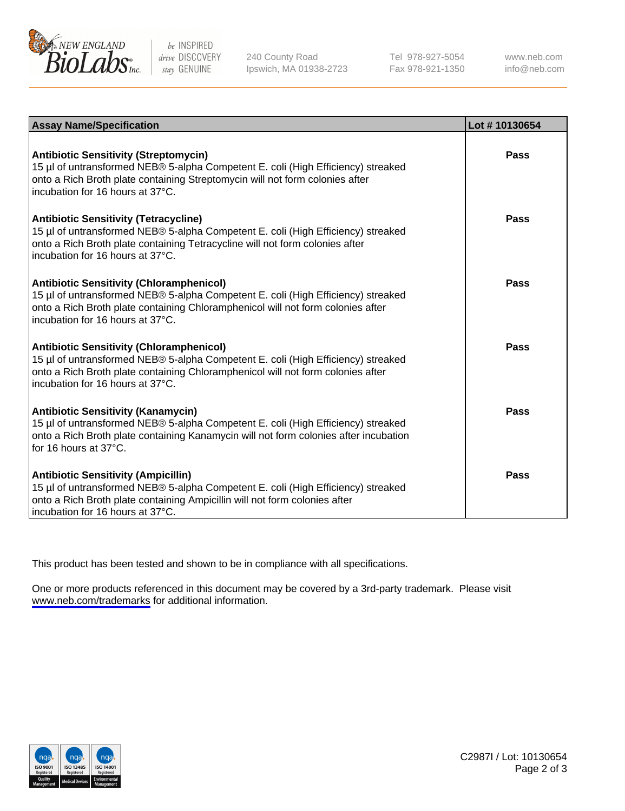

be INSPIRED drive DISCOVERY stay GENUINE

240 County Road Ipswich, MA 01938-2723 Tel 978-927-5054 Fax 978-921-1350

www.neb.com info@neb.com

| <b>Assay Name/Specification</b>                                                                                                                                                                                                                            | Lot #10130654 |
|------------------------------------------------------------------------------------------------------------------------------------------------------------------------------------------------------------------------------------------------------------|---------------|
| <b>Antibiotic Sensitivity (Streptomycin)</b><br>15 µl of untransformed NEB® 5-alpha Competent E. coli (High Efficiency) streaked<br>onto a Rich Broth plate containing Streptomycin will not form colonies after<br>incubation for 16 hours at 37°C.       | Pass          |
| <b>Antibiotic Sensitivity (Tetracycline)</b><br>15 µl of untransformed NEB® 5-alpha Competent E. coli (High Efficiency) streaked<br>onto a Rich Broth plate containing Tetracycline will not form colonies after<br>incubation for 16 hours at 37°C.       | Pass          |
| <b>Antibiotic Sensitivity (Chloramphenicol)</b><br>15 µl of untransformed NEB® 5-alpha Competent E. coli (High Efficiency) streaked<br>onto a Rich Broth plate containing Chloramphenicol will not form colonies after<br>incubation for 16 hours at 37°C. | Pass          |
| <b>Antibiotic Sensitivity (Chloramphenicol)</b><br>15 µl of untransformed NEB® 5-alpha Competent E. coli (High Efficiency) streaked<br>onto a Rich Broth plate containing Chloramphenicol will not form colonies after<br>incubation for 16 hours at 37°C. | Pass          |
| <b>Antibiotic Sensitivity (Kanamycin)</b><br>15 µl of untransformed NEB® 5-alpha Competent E. coli (High Efficiency) streaked<br>onto a Rich Broth plate containing Kanamycin will not form colonies after incubation<br>for 16 hours at $37^{\circ}$ C.   | Pass          |
| <b>Antibiotic Sensitivity (Ampicillin)</b><br>15 µl of untransformed NEB® 5-alpha Competent E. coli (High Efficiency) streaked<br>onto a Rich Broth plate containing Ampicillin will not form colonies after<br>incubation for 16 hours at 37°C.           | Pass          |

This product has been tested and shown to be in compliance with all specifications.

One or more products referenced in this document may be covered by a 3rd-party trademark. Please visit <www.neb.com/trademarks>for additional information.